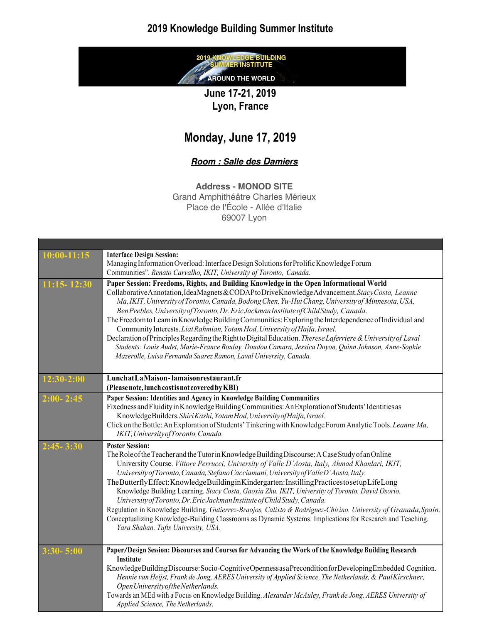### **2019 Knowledge Building Summer Institute**

**GE BUILDING** 2019 **SUMMER INSTITUTE** AROUND THE WORLD

**June 17-21, 2019 Lyon, France**

## **Monday, June 17, 2019**

#### *Room : Salle des Damiers*

**Address - MONOD SITE**

Grand Amphithéâtre Charles Mérieux Place de l'École - Allée d'Italie 69007 Lyon

| $10:00-11:15$   | <b>Interface Design Session:</b>                                                                                                                                                                                                                                                                                                                                                                                                                                                                                                                                                                                                                                                                                                                                                                                                                                                    |
|-----------------|-------------------------------------------------------------------------------------------------------------------------------------------------------------------------------------------------------------------------------------------------------------------------------------------------------------------------------------------------------------------------------------------------------------------------------------------------------------------------------------------------------------------------------------------------------------------------------------------------------------------------------------------------------------------------------------------------------------------------------------------------------------------------------------------------------------------------------------------------------------------------------------|
|                 | Managing Information Overload: Interface Design Solutions for Prolific Knowledge Forum                                                                                                                                                                                                                                                                                                                                                                                                                                                                                                                                                                                                                                                                                                                                                                                              |
|                 | Communities". Renato Carvalho, IKIT, University of Toronto, Canada.                                                                                                                                                                                                                                                                                                                                                                                                                                                                                                                                                                                                                                                                                                                                                                                                                 |
| $11:15 - 12:30$ | Paper Session: Freedoms, Rights, and Building Knowledge in the Open Informational World<br>Collaborative Annotation, Idea Magnets & CODAP to Drive Knowledge Advancement. Stacy Costa, Leanne<br>Ma, IKIT, University of Toronto, Canada, Bodong Chen, Yu-Hui Chang, University of Minnesota, USA,<br>Ben Peebles, University of Toronto, Dr. Eric Jackman Institute of Child Study, Canada.<br>The Freedom to Learn in Knowledge Building Communities: Exploring the Interdependence of Individual and<br>Community Interests. Liat Rahmian, Yotam Hod, University of Haifa, Israel.<br>Declaration of Principles Regarding the Right to Digital Education. Therese Laferriere & University of Laval<br>Students: Louis Audet, Marie-France Boulay, Doudou Camara, Jessica Doyon, Quinn Johnson, Anne-Sophie<br>Mazerolle, Luisa Fernanda Suarez Ramon, Laval University, Canada.  |
| $12:30-2:00$    | LunchatLaMaison-lamaisonrestaurant.fr<br>(Please note, lunch cost is not covered by KBI)                                                                                                                                                                                                                                                                                                                                                                                                                                                                                                                                                                                                                                                                                                                                                                                            |
| $2:00 - 2:45$   | Paper Session: Identities and Agency in Knowledge Building Communities<br>Fixedness and Fluidity in Knowledge Building Communities: An Exploration of Students' Identities as<br>KnowledgeBuilders.ShiriKashi, YotamHod, University of Haifa, Israel.<br>Click on the Bottle: An Exploration of Students' Tinkering with Knowledge Forum Analytic Tools. Leanne Ma,<br>IKIT, University of Toronto, Canada.                                                                                                                                                                                                                                                                                                                                                                                                                                                                         |
| $2:45 - 3:30$   | <b>Poster Session:</b><br>The Role of the Teacher and the Tutor in Knowledge Building Discourse: A Case Study of an Online<br>University Course. Vittore Perrucci, University of Valle D'Aosta, Italy, Ahmad Khanlari, IKIT,<br>University of Toronto, Canada, Stefano Cacciamani, University of Valle D'Aosta, Italy.<br>The Butterfly Effect: Knowledge Building in Kindergarten: Instilling Practices to setup Life Long<br>Knowledge Building Learning. Stacy Costa, Gaoxia Zhu, IKIT, University of Toronto, David Osorio.<br>University of Toronto, Dr. Eric Jackman Institute of Child Study, Canada.<br>Regulation in Knowledge Building. Gutierrez-Braojos, Calixto & Rodriguez-Chirino. University of Granada, Spain.<br>Conceptualizing Knowledge-Building Classrooms as Dynamic Systems: Implications for Research and Teaching.<br>Yara Shaban, Tufts University, USA. |
| $3:30 - 5:00$   | Paper/Design Session: Discourses and Courses for Advancing the Work of the Knowledge Building Research<br><b>Institute</b><br>KnowledgeBuildingDiscourse:Socio-CognitiveOpennessasaPreconditionforDevelopingEmbedded Cognition.<br>Hennie van Heijst, Frank de Jong, AERES University of Applied Science, The Netherlands, & PaulKirschner,<br>Open University of the Netherlands.<br>Towards an MEd with a Focus on Knowledge Building. Alexander McAuley, Frank de Jong, AERES University of<br>Applied Science, The Netherlands.                                                                                                                                                                                                                                                                                                                                                 |